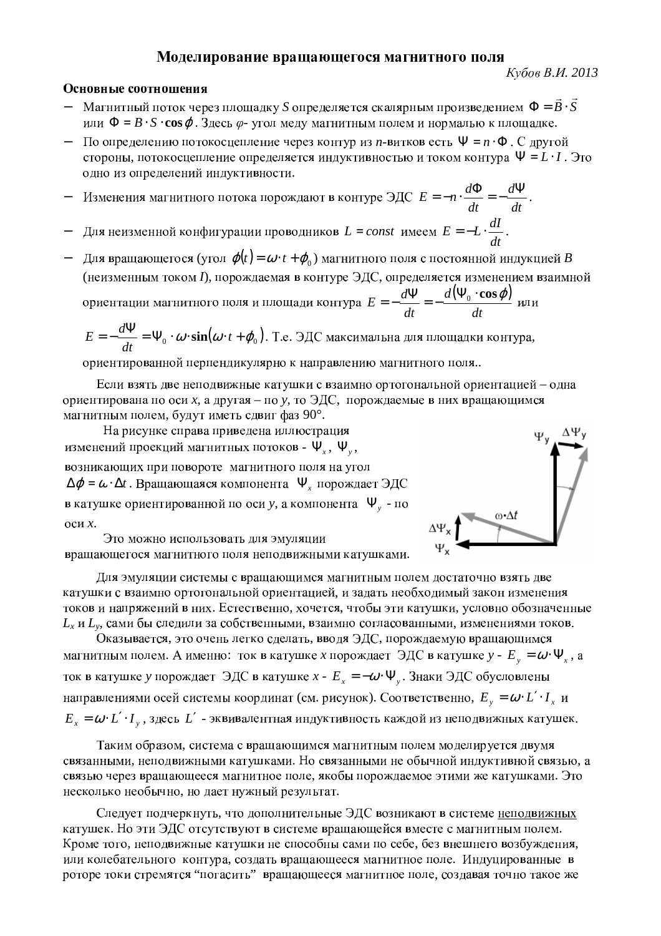## Моделирование вращающегося магнитного поля

## Основные соотношения

- Магнитный поток через площадку  $S$  определяется скалярным произведением  $\Phi = \vec{B} \cdot \vec{S}$ или  $\Phi = B \cdot S \cdot \cos \varphi$ . Здесь  $\varphi$ - угол меду магнитным полем и нормалью к площадке.
- По определению потокосцепление через контур из *n*-витков есть  $\Psi = n \cdot \Phi$ . С другой стороны, потокосцепление определяется индуктивностью и током контура  $\Psi = L \cdot I$ . Это одно из определений индуктивности.
- Изменения магнитного потока порождают в контуре ЭДС  $E = -n \cdot \frac{d\Phi}{dt} = -\frac{d\Psi}{dt}$ .
- Для неизменной конфигурации проводников  $L = const$  имеем  $E = -L \cdot \frac{dI}{dt}$ .
- Для вращающегося (угол  $\varphi(t) = \omega \cdot t + \varphi_0$ ) магнитного поля с постоянной индукцией В (неизменным током I), порождаемая в контуре ЭДС, определяется изменением взаимной ориентации магнитного поля и площади контура  $E = -\frac{d\Psi}{dt} = -\frac{d(\Psi_0 \cdot \cos \varphi)}{dt}$  или

$$
E = -\frac{d\Psi}{dt} = \Psi_0 \cdot \omega \cdot \sin(\omega \cdot t + \varphi_0).
$$
 T.e. 3 $\text{AC}$ максимальна для площадки контура,

ориентированной перпендикулярно к направлению магнитного поля..

Если взять две неподвижные катушки с взаимно ортогональной ориентацией - одна ориентирована по оси *х*, а другая – по у, то ЭДС, порождаемые в них вращающимся магнитным полем, будут иметь сдвиг фаз 90°.

На рисунке справа приведена иллюстрация изменений проекций магнитных потоков -  $\Psi_{r}$ ,  $\Psi_{v}$ , возникающих при повороте магнитного поля на угол  $\Delta \varphi = \omega \cdot \Delta t$ . Вращающаяся компонента  $\Psi$ , порождает ЭДС в катушке ориентированной по оси у, а компонента  $\Psi$ <sub>v</sub> - по оси  $x$ .



Это можно использовать для эмуляции вращающегося магнитного поля неподвижными катушками.

Для эмуляции системы с вращающимся магнитным полем достаточно взять две катушки с взаимно ортогональной ориентацией, и задать необходимый закон изменения токов и напряжений в них. Естественно, хочется, чтобы эти катушки, условно обозначенные  $L_x$  и  $L_y$ , сами бы следили за собственными, взаимно согласованными, изменениями токов.

Оказывается, это очень легко сделать, вводя ЭДС, порождаемую вращающимся магнитным полем. А именно: ток в катушке *х* порождает ЭДС в катушке  $y - E_y = \omega \cdot \Psi_x$ , а ток в катушке у порождает ЭДС в катушке  $x - E_x = -\omega \cdot \Psi_y$ . Знаки ЭДС обусловлены направлениями осей системы координат (см. рисунок). Соответственно,  $E_y = \omega \cdot L' \cdot I_x$  и  $E_x = \omega \cdot L' \cdot I_y$ , здесь  $L'$  - эквивалентная индуктивность каждой из неподвижных катушек.

Таким образом, система с вращающимся магнитным полем моделируется двумя связанными, неподвижными катушками. Но связанными не обычной индуктивной связью, а связью через вращающееся магнитное поле, якобы порождаемое этими же катушками. Это несколько необычно, но дает нужный результат.

Следует подчеркнуть, что дополнительные ЭДС возникают в системе неподвижных катушек. Но эти ЭДС отсутствуют в системе вращающейся вместе с магнитным полем. Кроме того, неподвижные катушки не способны сами по себе, без внешнего возбуждения. или колебательного контура, создать вращающееся магнитное поле. Индуцированные в роторе токи стремятся "погасить" вращающееся магнитное поле, создавая точно такое же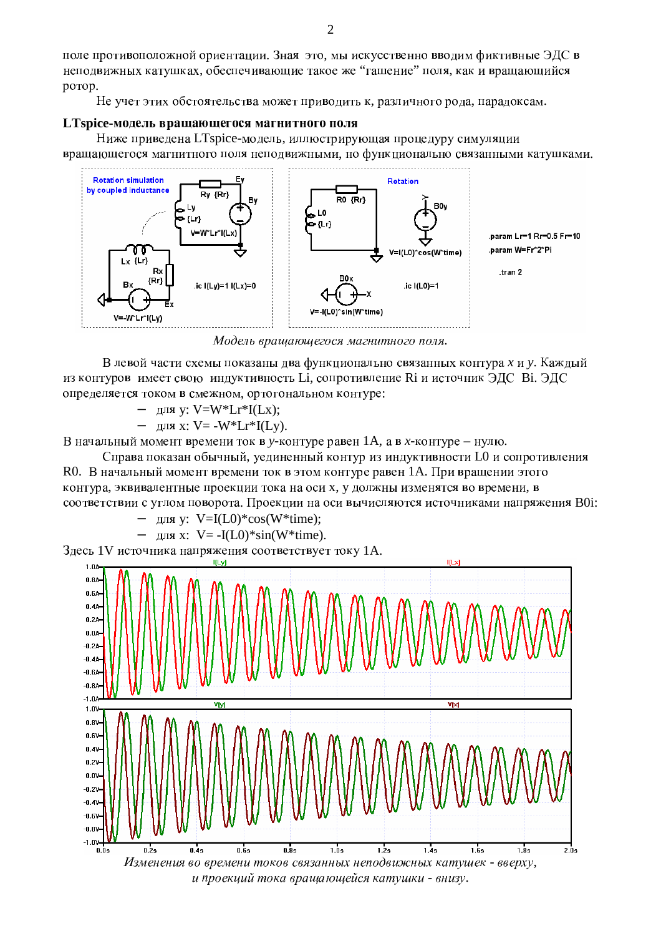поле противоположной ориентации. Зная это, мы искусственно вводим фиктивные ЭДС неподвижных катушках, обеспечивающие такое же "гашение" поля, как и вращающийс ротор.

Не учет этих обстоятельства может приводить к, различного рода, парадоксам.

## LTspice-модель вращающегося магнитного пол

Ниже приведена LTspice-модель, иллюстрирующая процедуру симуляци вращающегося магнитного поля неподвижными, но функционально связанными катушками.



Модель вращающегося магнитного поля.

В левой части схемы показаны два функционально связанных контура х и у. Кажды из контуров имеет свою индуктивность Li, сопротивление Ri и источник ЭДС Вi. ЭД определяется током в смежном, ортогональном контуре:

− <sup>5</sup> <sup>3</sup> <sup>7</sup> y: V=W\*Lr\*I(Lx);

– для х: V= -W\*Lr\*I(Ly).

В начальный момент времени ток в у-контуре равен 1А, а в *х*-контуре - нулю.

Справа показан обычный, уединенный контур из индуктивности L0 и сопротивлени R0. В начальный момент времени ток в этом контуре равен 1А. При вращении этог контура, эквивалентные проекции тока на оси х, у должны изменятся во времени, соответствии с углом поворота. Проекции на оси вычисляются источниками напряжения В0i:

$$
- \quad \text{and } y: V = I(L0)^* \cos(W^* \text{time});
$$

$$
- \quad \text{and } x: V = -I(L0)^* \sin(W^* \text{time}).
$$

Здесь 1V источника напряжения соответствует току 1А.



и проекций тока вращающейся катушки - внизу.